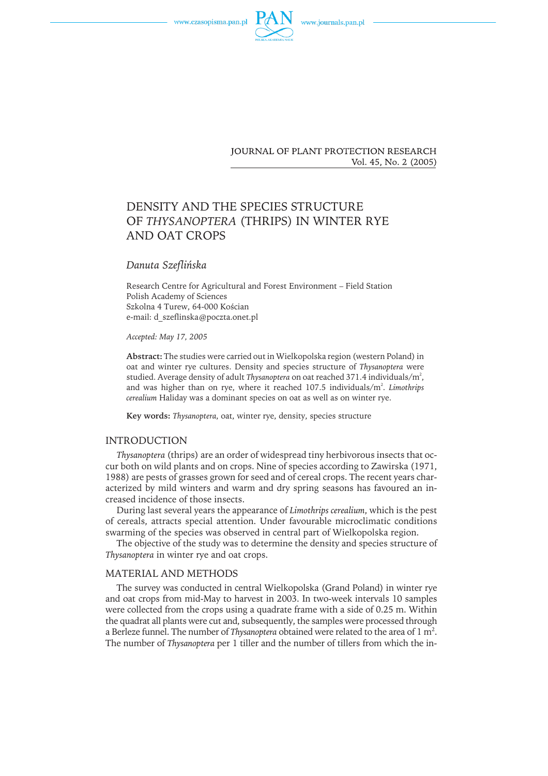www.czasopisma.pan.pl





**JOURNAL OF PLANT PROTECTION RESEARCH** Vol. 45, No. 2 (2005)

# DENSITY AND THE SPECIES STRUCTURE OF *THYSANOPTERA* (THRIPS) IN WINTER RYE AND OAT CROPS

## *Danuta Szeflińska*

Research Centre for Agricultural and Forest Environment – Field Station Polish Academy of Sciences Szkolna 4 Turew, 64-000 Kościan e-mail: d\_szeflinska@poczta.onet.pl

*Accepted: May 17, 2005*

**Abstract:** The studies were carried out in Wielkopolska region (western Poland) in oat and winter rye cultures. Density and species structure of *Thysanoptera* were studied. Average density of adult *Thysanoptera* on oat reached 371.4 individuals/m $^2$ , and was higher than on rye, where it reached 107.5 individuals/m<sup>2</sup>. *Limothrips cerealium* Haliday was a dominant species on oat as well as on winter rye.

**Key words:** *Thysanoptera*, oat, winter rye, density, species structure

# **INTRODUCTION**

*Thysanoptera* (thrips) are an order of widespread tiny herbivorous insects that occur both on wild plants and on crops. Nine of species according to Zawirska (1971, 1988) are pests of grasses grown for seed and of cereal crops. The recent years characterized by mild winters and warm and dry spring seasons has favoured an increased incidence of those insects.

During last several years the appearance of *Limothrips cerealium*, which is the pest of cereals, attracts special attention. Under favourable microclimatic conditions swarming of the species was observed in central part of Wielkopolska region.

The objective of the study was to determine the density and species structure of *Thysanoptera* in winter rye and oat crops.

#### MATERIAL AND METHODS

The survey was conducted in central Wielkopolska (Grand Poland) in winter rye and oat crops from mid-May to harvest in 2003. In two-week intervals 10 samples were collected from the crops using a quadrate frame with a side of 0.25 m. Within the quadrat all plants were cut and, subsequently, the samples were processed through a Berleze funnel. The number of *Thysanoptera* obtained were related to the area of  $1 \text{ m}^2$ . The number of *Thysanoptera* per 1 tiller and the number of tillers from which the in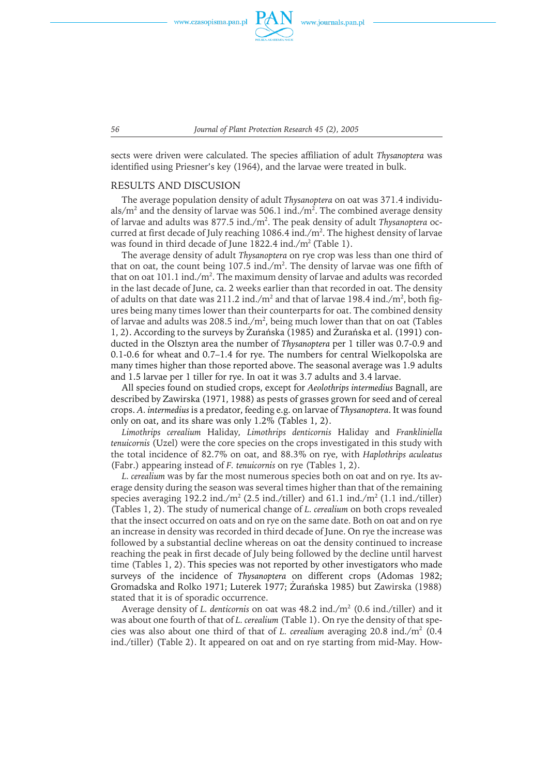www.czasopisma.pan.pl



*56 Journal of Plant Protection Research 45 (2), 2005*

sects were driven were calculated. The species affiliation of adult *Thysanoptera* was identified using Priesner's key (1964), and the larvae were treated in bulk.

### RESULTS AND DISCUSION

The average population density of adult *Thysanoptera* on oat was 371.4 individuals/m $^{\rm 2}$  and the density of larvae was 506.1 ind./m $^{\rm 2}$ . The combined average density of larvae and adults was 877.5 ind./m<sup>2</sup>. The peak density of adult Thysanoptera occurred at first decade of July reaching  $1086.4$  ind./m $^2$ . The highest density of larvae was found in third decade of June 1822.4 ind./m2 (Table 1).

The average density of adult *Thysanoptera* on rye crop was less than one third of that on oat, the count being  $107.5$  ind./m<sup>2</sup>. The density of larvae was one fifth of that on oat 101.1 ind./m<sup>2</sup>. The maximum density of larvae and adults was recorded in the last decade of June, ca. 2 weeks earlier than that recorded in oat. The density of adults on that date was 211.2 ind./ $m^2$  and that of larvae 198.4 ind./ $m^2$ , both figures being many times lower than their counterparts for oat. The combined density of larvae and adults was 208.5 ind./ $m^2$ , being much lower than that on oat (Tables 1, 2). According to the surveys by Żurańska (1985) and Żurańska et al. (1991) conducted in the Olsztyn area the number of *Thysanoptera* per 1 tiller was 0.7-0.9 and 0.1-0.6 for wheat and 0.7–1.4 for rye. The numbers for central Wielkopolska are many times higher than those reported above. The seasonal average was 1.9 adults and 1.5 larvae per 1 tiller for rye. In oat it was 3.7 adults and 3.4 larvae.

All species found on studied crops, except for *Aeolothrips intermedius* Bagnall, are described by Zawirska (1971, 1988) as pests of grasses grown for seed and of cereal crops. *A. intermedius* is a predator, feeding e.g. on larvae of *Thysanoptera*. It was found only on oat, and its share was only 1.2% (Tables 1, 2).

*Limothrips cerealium* Haliday*, Limothrips denticornis* Haliday and *Frankliniella tenuicornis* (Uzel) were the core species on the crops investigated in this study with the total incidence of 82.7% on oat, and 88.3% on rye, with *Haplothrips aculeatus* (Fabr.) appearing instead of *F. tenuicornis* on rye (Tables 1, 2).

*L. cerealium* was by far the most numerous species both on oat and on rye. Its average density during the season was several times higher than that of the remaining species averaging 192.2 ind./m<sup>2</sup> (2.5 ind./tiller) and 61.1 ind./m<sup>2</sup> (1.1 ind./tiller) (Tables 1, 2). The study of numerical change of *L. cerealium* on both crops revealed that the insect occurred on oats and on rye on the same date. Both on oat and on rye an increase in density was recorded in third decade of June. On rye the increase was followed by a substantial decline whereas on oat the density continued to increase reaching the peak in first decade of July being followed by the decline until harvest time (Tables 1, 2). This species was not reported by other investigators who made surveys of the incidence of *Thysanoptera* on different crops (Adomas 1982; Gromadska and Rolko 1971; Luterek 1977; Żurańska 1985) but Zawirska (1988) stated that it is of sporadic occurrence.

Average density of *L. denticornis* on oat was 48.2 ind./m2 (0.6 ind./tiller) and it was about one fourth of that of *L. cerealium* (Table 1). On rye the density of that species was also about one third of that of *L. cerealium* averaging 20.8 ind./m2 (0.4 ind./tiller) (Table 2). It appeared on oat and on rye starting from mid-May. How-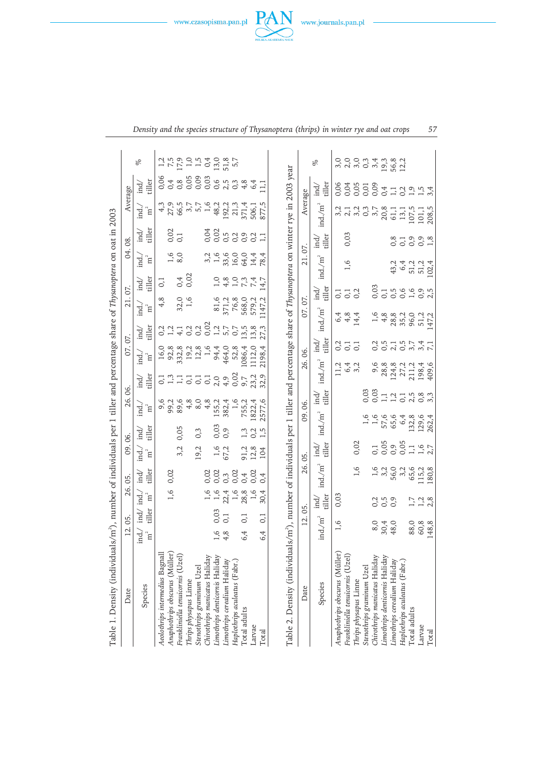| Table 1. Density (individ                                                                                                                          | uals/m <sup>2</sup> ), number of individuals per 1 tiller and percentage share of Thysanoptera on oat in 2003 |                                                                    |                                       |                                |                    |                                              |                                                                        |                                 |                                                  |                                              |               |                                                                                                                                                                                                                                                                                             |                                     |                                                                                                                                                                                                                                                                                                                                                                                                                                                                |                                        |                                                       |
|----------------------------------------------------------------------------------------------------------------------------------------------------|---------------------------------------------------------------------------------------------------------------|--------------------------------------------------------------------|---------------------------------------|--------------------------------|--------------------|----------------------------------------------|------------------------------------------------------------------------|---------------------------------|--------------------------------------------------|----------------------------------------------|---------------|---------------------------------------------------------------------------------------------------------------------------------------------------------------------------------------------------------------------------------------------------------------------------------------------|-------------------------------------|----------------------------------------------------------------------------------------------------------------------------------------------------------------------------------------------------------------------------------------------------------------------------------------------------------------------------------------------------------------------------------------------------------------------------------------------------------------|----------------------------------------|-------------------------------------------------------|
| Date                                                                                                                                               | 05.<br>12.                                                                                                    |                                                                    | 05.<br>26.                            | $\overline{09}$ .              | <b>S</b>           | 86.<br>26.                                   |                                                                        | 07.07.                          |                                                  | 21.07                                        |               | 04.                                                                                                                                                                                                                                                                                         | $\frac{8}{3}$                       |                                                                                                                                                                                                                                                                                                                                                                                                                                                                | Average                                |                                                       |
| Species                                                                                                                                            | ind.<br>$\overline{\text{m}}^2$                                                                               | ind.<br>$\overline{\text{m}}^2$<br>ind/<br>tiller                  | tiller<br>.<br>ਜ਼ਿਲ੍ਹੇ                | ind.<br>ີ∃                     | tiller<br>.<br>ਜ਼ਿ | ind.<br>E<br>$\overline{\mathbf{m}}^2$       | $\ddot{a}$<br>İnd                                                      | $\mathrm{m}^2$<br>ind.          | tiller<br>ind,                                   | ind.<br>E<br>$\overline{\text{m}}^2$         | tiller<br>İnd | ind.<br>i<br>ิธ                                                                                                                                                                                                                                                                             | tiller<br>ind)                      | ind.<br>ิธ                                                                                                                                                                                                                                                                                                                                                                                                                                                     | tiller<br>İnd                          | R                                                     |
| Aeolothrips intermedius Bagnal                                                                                                                     |                                                                                                               |                                                                    |                                       |                                |                    |                                              |                                                                        |                                 |                                                  | 4, 8                                         | 0,1           |                                                                                                                                                                                                                                                                                             |                                     |                                                                                                                                                                                                                                                                                                                                                                                                                                                                |                                        |                                                       |
| Anaphothrips obscurus (Müller                                                                                                                      |                                                                                                               | 1,6                                                                | 0,02                                  |                                |                    |                                              |                                                                        |                                 |                                                  |                                              |               | 1,6                                                                                                                                                                                                                                                                                         |                                     |                                                                                                                                                                                                                                                                                                                                                                                                                                                                |                                        |                                                       |
| Frankliniella tenuicornis (Uzel)                                                                                                                   |                                                                                                               |                                                                    |                                       | 3,2                            | 0,05               | 9,00<br>9,00<br>9,00                         |                                                                        |                                 | o – 4 0 0 0 – 4 0 17 7<br>o – 4 0 0 0 – 4 0 17 7 | $32,0$<br>1,6                                |               | 8,0                                                                                                                                                                                                                                                                                         | $0,02$<br>$0,1$                     |                                                                                                                                                                                                                                                                                                                                                                                                                                                                | 6<br>0480006538<br>0000000004          |                                                       |
| Thrips physapus Linne                                                                                                                              |                                                                                                               |                                                                    |                                       |                                |                    | 4,8                                          | 1.55500000                                                             |                                 |                                                  |                                              | 0,02          |                                                                                                                                                                                                                                                                                             |                                     |                                                                                                                                                                                                                                                                                                                                                                                                                                                                |                                        |                                                       |
| Stenothrips graminum Uzel                                                                                                                          |                                                                                                               |                                                                    |                                       | 19,2                           | 0,3                | 8,0                                          |                                                                        |                                 |                                                  |                                              |               |                                                                                                                                                                                                                                                                                             |                                     |                                                                                                                                                                                                                                                                                                                                                                                                                                                                |                                        |                                                       |
| Chirothrips manicatus Haliday                                                                                                                      |                                                                                                               |                                                                    |                                       |                                |                    |                                              |                                                                        |                                 |                                                  |                                              |               |                                                                                                                                                                                                                                                                                             |                                     |                                                                                                                                                                                                                                                                                                                                                                                                                                                                |                                        |                                                       |
| Limothrips denticornis Haliday                                                                                                                     |                                                                                                               | 0 0 0 1 0 0 0 0<br>- - 2 - 2 0 1<br>- - 2 0 2 1<br>$0,03$<br>$0,1$ | 00 m 0 + 0<br>00 m 0 + 0<br>0 0 0 0 0 |                                | 0,03               | $4,8$<br>155,2<br>382,4                      |                                                                        |                                 |                                                  |                                              |               | $\begin{array}{c} 2.76 & 0.06 \\ 0.76 & 0.06 \\ 0.07 & 0.06 \\ 0.07 & 0.06 \\ 0.07 & 0.06 \\ 0.07 & 0.06 \\ 0.07 & 0.06 \\ 0.07 & 0.06 \\ 0.07 & 0.06 \\ 0.07 & 0.06 \\ 0.07 & 0.06 \\ 0.07 & 0.06 \\ 0.07 & 0.06 \\ 0.07 & 0.06 \\ 0.07 & 0.06 \\ 0.07 & 0.06 \\ 0.07 & 0.06 \\ 0.07 & 0.$ | d 0 5 5 9 9 9<br>1<br>0 0 0 0 0 0 0 |                                                                                                                                                                                                                                                                                                                                                                                                                                                                |                                        |                                                       |
| Limothrips cerealium Haliday                                                                                                                       | 4, 8                                                                                                          |                                                                    |                                       | $1,6$<br>67,2                  | 0,9                |                                              |                                                                        |                                 |                                                  | 81,6<br>371,2<br>568,0<br>579,7,2<br>509,7,2 |               |                                                                                                                                                                                                                                                                                             |                                     |                                                                                                                                                                                                                                                                                                                                                                                                                                                                |                                        |                                                       |
| Haplothrips aculeatus (Fabr.)                                                                                                                      |                                                                                                               |                                                                    |                                       |                                |                    |                                              |                                                                        |                                 |                                                  |                                              |               |                                                                                                                                                                                                                                                                                             |                                     |                                                                                                                                                                                                                                                                                                                                                                                                                                                                |                                        |                                                       |
| Total adults                                                                                                                                       | $\overline{0}$ , $\overline{1}$<br>6,4                                                                        |                                                                    |                                       |                                | 1,3                | 755,2                                        |                                                                        |                                 |                                                  |                                              |               |                                                                                                                                                                                                                                                                                             |                                     |                                                                                                                                                                                                                                                                                                                                                                                                                                                                |                                        |                                                       |
| Larvae                                                                                                                                             |                                                                                                               |                                                                    |                                       | 91,2<br>12,8                   |                    |                                              | 23,2                                                                   |                                 |                                                  |                                              | 7,4           |                                                                                                                                                                                                                                                                                             |                                     |                                                                                                                                                                                                                                                                                                                                                                                                                                                                | 6,4                                    |                                                       |
| Total                                                                                                                                              | $\overline{0}$<br>6,4                                                                                         | 30,4                                                               | 0.4                                   | 104                            |                    | 1822,4<br>1577,6                             | 32,9                                                                   | $1086,4$<br>1112,0<br>2198,4    |                                                  |                                              | 4,7           |                                                                                                                                                                                                                                                                                             |                                     |                                                                                                                                                                                                                                                                                                                                                                                                                                                                |                                        |                                                       |
| Table 2. Density (individuals/m <sup>2</sup> ), number of individuals per 1 tiller and percentage share of Thysanoptera on winter rye in 2003 year |                                                                                                               |                                                                    |                                       |                                |                    |                                              |                                                                        |                                 |                                                  |                                              |               |                                                                                                                                                                                                                                                                                             |                                     |                                                                                                                                                                                                                                                                                                                                                                                                                                                                |                                        |                                                       |
| Date                                                                                                                                               | 12.                                                                                                           | 05.                                                                | 26.                                   | 05.                            |                    | 06.<br>09.                                   | 26.                                                                    | 06.                             |                                                  | 07.07.                                       |               | 21.07.                                                                                                                                                                                                                                                                                      |                                     | Average                                                                                                                                                                                                                                                                                                                                                                                                                                                        |                                        |                                                       |
| Species                                                                                                                                            | ind/m <sup>2</sup>                                                                                            | tiller<br>$\vec{H}$                                                | $ind/m^2$                             | tiller<br>$\vec{p}$            | ind/m <sup>2</sup> | tiller<br>$\overrightarrow{ad}$              | ind./m <sup>2</sup>                                                    | tiller<br>$\overrightarrow{ad}$ | $ind./m^2$                                       | $\operatorname*{ind}\nolimits$               |               | $\text{ind./m}^2$                                                                                                                                                                                                                                                                           | tiller<br>.<br>ਜ਼                   | $ind./m^2$                                                                                                                                                                                                                                                                                                                                                                                                                                                     | tiller<br>İnd                          | <sub>D</sub> o                                        |
| Anaphothrips obscurus (Müller                                                                                                                      | 1,6                                                                                                           | 0,03                                                               |                                       |                                |                    |                                              |                                                                        |                                 |                                                  | 0,1                                          |               |                                                                                                                                                                                                                                                                                             |                                     |                                                                                                                                                                                                                                                                                                                                                                                                                                                                |                                        |                                                       |
| Frankliniella tenuicornis (Uzel)                                                                                                                   |                                                                                                               |                                                                    |                                       |                                |                    |                                              | 1 4 4<br>1 4 7<br>1 9 7                                                | $\overline{0}$ , 1              | $6484$<br>$644$                                  | $0,1$<br>$0,2$                               |               | 1,6                                                                                                                                                                                                                                                                                         | 0,03                                | $\begin{array}{l} \mathbf{a}, \mathbf{c}, \mathbf{c}, \mathbf{c}, \mathbf{c}, \mathbf{c}, \mathbf{c}, \mathbf{c}, \mathbf{c}, \mathbf{c}, \mathbf{c}, \mathbf{c}, \mathbf{c}, \mathbf{c}, \mathbf{c}, \mathbf{c}, \mathbf{c}, \mathbf{c}, \mathbf{c}, \mathbf{c}, \mathbf{c}, \mathbf{c}, \mathbf{c}, \mathbf{c}, \mathbf{c}, \mathbf{c}, \mathbf{c}, \mathbf{c}, \mathbf{c}, \mathbf{c}, \mathbf{c}, \mathbf{c}, \mathbf{c}, \mathbf{c}, \mathbf{c}, \mathbf$ | 60000010113000000000000000000000000000 | 0 0 0 m 4 m 8 n<br>0 0 0 m 4 m 8 n<br>0 0 0 m 4 m 8 n |
| Thrips physapus Linne                                                                                                                              |                                                                                                               |                                                                    | 1,6                                   | 0,02                           |                    |                                              |                                                                        | $\overline{0}$                  |                                                  |                                              |               |                                                                                                                                                                                                                                                                                             |                                     |                                                                                                                                                                                                                                                                                                                                                                                                                                                                |                                        |                                                       |
| Stenothrips graminum Uzel                                                                                                                          |                                                                                                               |                                                                    |                                       |                                |                    |                                              |                                                                        |                                 |                                                  |                                              |               |                                                                                                                                                                                                                                                                                             |                                     |                                                                                                                                                                                                                                                                                                                                                                                                                                                                |                                        |                                                       |
| Chirothrips manicatus Haliday                                                                                                                      |                                                                                                               |                                                                    |                                       |                                |                    |                                              | 9,6                                                                    |                                 |                                                  |                                              |               |                                                                                                                                                                                                                                                                                             |                                     |                                                                                                                                                                                                                                                                                                                                                                                                                                                                |                                        |                                                       |
| Limothrips denticornis Haliday                                                                                                                     |                                                                                                               | $\begin{array}{c} 2.5 \\ 0.5 \end{array}$                          |                                       |                                |                    |                                              |                                                                        |                                 |                                                  |                                              |               |                                                                                                                                                                                                                                                                                             |                                     |                                                                                                                                                                                                                                                                                                                                                                                                                                                                |                                        |                                                       |
| Limothrips cerealium Haliday                                                                                                                       |                                                                                                               |                                                                    |                                       |                                |                    |                                              |                                                                        |                                 |                                                  |                                              |               |                                                                                                                                                                                                                                                                                             |                                     |                                                                                                                                                                                                                                                                                                                                                                                                                                                                |                                        |                                                       |
| Haplothrips aculeatus (Fabr.)                                                                                                                      |                                                                                                               |                                                                    |                                       |                                |                    |                                              |                                                                        |                                 |                                                  |                                              |               |                                                                                                                                                                                                                                                                                             |                                     |                                                                                                                                                                                                                                                                                                                                                                                                                                                                |                                        |                                                       |
| Total adults                                                                                                                                       | 88,0<br>60,8<br>48,8                                                                                          | $7, 2, 8$<br>$1, 2, 8$                                             |                                       | $-50007 + 67$<br>$00007 + 107$ |                    | 0 0 0 1 1 1 1 1 2 2 3<br>0 0 1 1 1 0 1 0 2 3 | $28,8$<br>$124,7$<br>$27,7$<br>$21,34$<br>$21,4$<br>$198,4$<br>$409,6$ | 515741.5 c c c c c c c c c c c  | 14822617<br>14826177                             | o<br>O T I n O O O I N<br>O O O O T O N      |               | $4.34$<br>$4.4$<br>$4.7$<br>$4.7$<br>$4.7$<br>$4.7$<br>$4.7$<br>$4.7$<br>$4.7$                                                                                                                                                                                                              | 81998<br>81998                      |                                                                                                                                                                                                                                                                                                                                                                                                                                                                |                                        |                                                       |
| Larvae                                                                                                                                             |                                                                                                               |                                                                    |                                       |                                |                    |                                              |                                                                        |                                 |                                                  |                                              |               |                                                                                                                                                                                                                                                                                             |                                     |                                                                                                                                                                                                                                                                                                                                                                                                                                                                |                                        |                                                       |
| Total                                                                                                                                              |                                                                                                               |                                                                    |                                       |                                |                    |                                              |                                                                        |                                 |                                                  |                                              |               |                                                                                                                                                                                                                                                                                             |                                     |                                                                                                                                                                                                                                                                                                                                                                                                                                                                |                                        |                                                       |